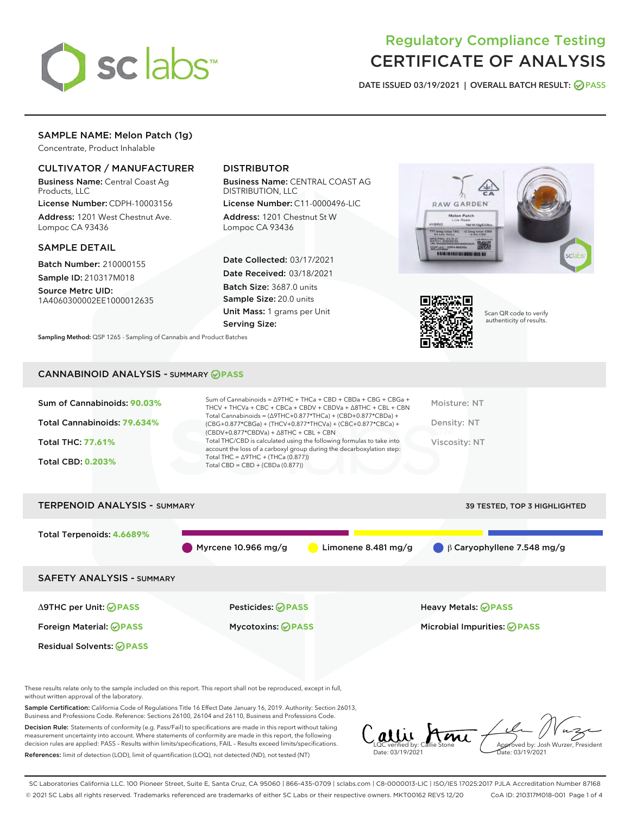

# Regulatory Compliance Testing CERTIFICATE OF ANALYSIS

DATE ISSUED 03/19/2021 | OVERALL BATCH RESULT: @ PASS

# SAMPLE NAME: Melon Patch (1g)

Concentrate, Product Inhalable

# CULTIVATOR / MANUFACTURER

Business Name: Central Coast Ag Products, LLC

License Number: CDPH-10003156 Address: 1201 West Chestnut Ave. Lompoc CA 93436

# SAMPLE DETAIL

Batch Number: 210000155 Sample ID: 210317M018

Source Metrc UID: 1A4060300002EE1000012635

# DISTRIBUTOR

Business Name: CENTRAL COAST AG DISTRIBUTION, LLC

License Number: C11-0000496-LIC Address: 1201 Chestnut St W Lompoc CA 93436

Date Collected: 03/17/2021 Date Received: 03/18/2021 Batch Size: 3687.0 units Sample Size: 20.0 units Unit Mass: 1 grams per Unit Serving Size:





Scan QR code to verify authenticity of results.

CANNABINOID ANALYSIS - SUMMARY **PASS**

Sampling Method: QSP 1265 - Sampling of Cannabis and Product Batches

| Sum of Cannabinoids: 90.03% | Sum of Cannabinoids = $\triangle$ 9THC + THCa + CBD + CBDa + CBG + CBGa +<br>THCV + THCVa + CBC + CBCa + CBDV + CBDVa + $\Delta$ 8THC + CBL + CBN                                    | Moisture: NT  |
|-----------------------------|--------------------------------------------------------------------------------------------------------------------------------------------------------------------------------------|---------------|
| Total Cannabinoids: 79.634% | Total Cannabinoids = $(\Delta$ 9THC+0.877*THCa) + (CBD+0.877*CBDa) +<br>(CBG+0.877*CBGa) + (THCV+0.877*THCVa) + (CBC+0.877*CBCa) +<br>$(CBDV+0.877*CBDVa) + \Delta 8THC + CBL + CBN$ | Density: NT   |
| <b>Total THC: 77.61%</b>    | Total THC/CBD is calculated using the following formulas to take into<br>account the loss of a carboxyl group during the decarboxylation step:                                       | Viscosity: NT |
| <b>Total CBD: 0.203%</b>    | Total THC = $\triangle$ 9THC + (THCa (0.877))<br>Total CBD = $CBD + (CBDa (0.877))$                                                                                                  |               |

# TERPENOID ANALYSIS - SUMMARY 39 TESTED, TOP 3 HIGHLIGHTED Total Terpenoids: **4.6689%** Myrcene 10.966 mg/g Limonene 8.481 mg/g β Caryophyllene 7.548 mg/g SAFETY ANALYSIS - SUMMARY Δ9THC per Unit: **PASS** Pesticides: **PASS** Heavy Metals: **PASS** Foreign Material: **PASS** Mycotoxins: **PASS** Microbial Impurities: **PASS** Residual Solvents: **PASS**

These results relate only to the sample included on this report. This report shall not be reproduced, except in full, without written approval of the laboratory.

Sample Certification: California Code of Regulations Title 16 Effect Date January 16, 2019. Authority: Section 26013, Business and Professions Code. Reference: Sections 26100, 26104 and 26110, Business and Professions Code.

Decision Rule: Statements of conformity (e.g. Pass/Fail) to specifications are made in this report without taking measurement uncertainty into account. Where statements of conformity are made in this report, the following decision rules are applied: PASS – Results within limits/specifications, FAIL – Results exceed limits/specifications. References: limit of detection (LOD), limit of quantification (LOQ), not detected (ND), not tested (NT)

Callie Stone Date: 03/19/2021 Approved by: Josh Wurzer, President ite: 03/19/2021

SC Laboratories California LLC. 100 Pioneer Street, Suite E, Santa Cruz, CA 95060 | 866-435-0709 | sclabs.com | C8-0000013-LIC | ISO/IES 17025:2017 PJLA Accreditation Number 87168 © 2021 SC Labs all rights reserved. Trademarks referenced are trademarks of either SC Labs or their respective owners. MKT00162 REV5 12/20 CoA ID: 210317M018-001 Page 1 of 4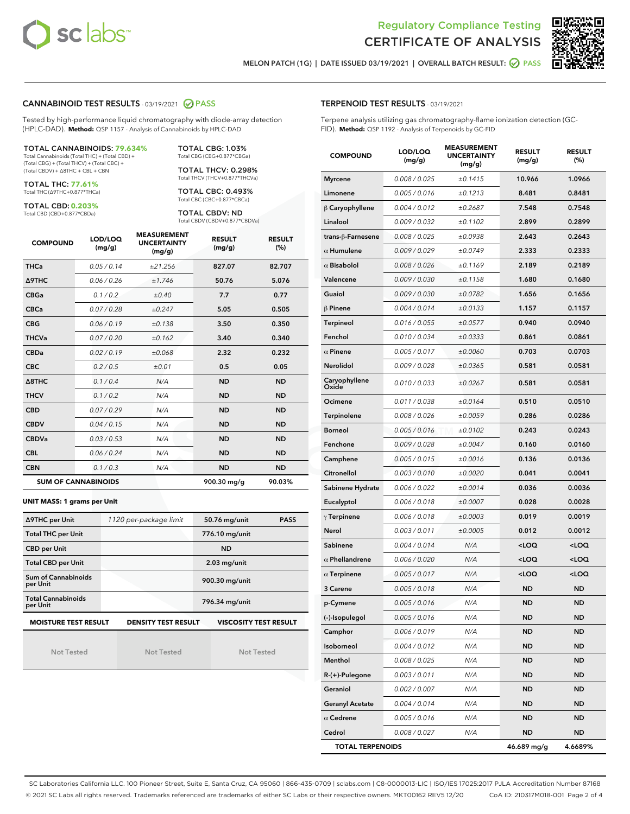



MELON PATCH (1G) | DATE ISSUED 03/19/2021 | OVERALL BATCH RESULT: @ PASS

# CANNABINOID TEST RESULTS - 03/19/2021 2 PASS

Tested by high-performance liquid chromatography with diode-array detection (HPLC-DAD). **Method:** QSP 1157 - Analysis of Cannabinoids by HPLC-DAD

TOTAL CANNABINOIDS: **79.634%**

Total Cannabinoids (Total THC) + (Total CBD) + (Total CBG) + (Total THCV) + (Total CBC) + (Total CBDV) + ∆8THC + CBL + CBN

TOTAL THC: **77.61%** Total THC (∆9THC+0.877\*THCa)

TOTAL CBD: **0.203%**

Total CBD (CBD+0.877\*CBDa)

TOTAL CBG: 1.03% Total CBG (CBG+0.877\*CBGa)

TOTAL THCV: 0.298% Total THCV (THCV+0.877\*THCVa)

TOTAL CBC: 0.493% Total CBC (CBC+0.877\*CBCa)

TOTAL CBDV: ND Total CBDV (CBDV+0.877\*CBDVa)

| <b>COMPOUND</b>  | LOD/LOQ<br>(mg/g)          | <b>MEASUREMENT</b><br><b>UNCERTAINTY</b><br>(mg/g) | <b>RESULT</b><br>(mg/g) | <b>RESULT</b><br>(%) |
|------------------|----------------------------|----------------------------------------------------|-------------------------|----------------------|
| <b>THCa</b>      | 0.05/0.14                  | ±21.256                                            | 827.07                  | 82.707               |
| <b>A9THC</b>     | 0.06 / 0.26                | ±1.746                                             | 50.76                   | 5.076                |
| <b>CBGa</b>      | 0.1 / 0.2                  | ±0.40                                              | 7.7                     | 0.77                 |
| <b>CBCa</b>      | 0.07/0.28                  | ±0.247                                             | 5.05                    | 0.505                |
| <b>CBG</b>       | 0.06/0.19                  | ±0.138                                             | 3.50                    | 0.350                |
| <b>THCVa</b>     | 0.07/0.20                  | ±0.162                                             | 3.40                    | 0.340                |
| <b>CBDa</b>      | 0.02/0.19                  | ±0.068                                             | 2.32                    | 0.232                |
| <b>CBC</b>       | 0.2/0.5                    | ±0.01                                              | 0.5                     | 0.05                 |
| $\triangle$ 8THC | 0.1/0.4                    | N/A                                                | <b>ND</b>               | <b>ND</b>            |
| <b>THCV</b>      | 0.1/0.2                    | N/A                                                | <b>ND</b>               | <b>ND</b>            |
| <b>CBD</b>       | 0.07/0.29                  | N/A                                                | <b>ND</b>               | <b>ND</b>            |
| <b>CBDV</b>      | 0.04 / 0.15                | N/A                                                | <b>ND</b>               | <b>ND</b>            |
| <b>CBDVa</b>     | 0.03/0.53                  | N/A                                                | <b>ND</b>               | <b>ND</b>            |
| <b>CBL</b>       | 0.06 / 0.24                | N/A                                                | <b>ND</b>               | <b>ND</b>            |
| <b>CBN</b>       | 0.1/0.3                    | N/A                                                | <b>ND</b>               | <b>ND</b>            |
|                  | <b>SUM OF CANNABINOIDS</b> |                                                    | 900.30 mg/g             | 90.03%               |

#### **UNIT MASS: 1 grams per Unit**

| ∆9THC per Unit                        | 1120 per-package limit     | 50.76 mg/unit<br><b>PASS</b> |
|---------------------------------------|----------------------------|------------------------------|
| <b>Total THC per Unit</b>             |                            | 776.10 mg/unit               |
| <b>CBD per Unit</b>                   |                            | <b>ND</b>                    |
| <b>Total CBD per Unit</b>             |                            | $2.03$ mg/unit               |
| Sum of Cannabinoids<br>per Unit       |                            | 900.30 mg/unit               |
| <b>Total Cannabinoids</b><br>per Unit |                            | 796.34 mg/unit               |
| <b>MOISTURE TEST RESULT</b>           | <b>DENSITY TEST RESULT</b> | <b>VISCOSITY TEST RESULT</b> |

Not Tested

Not Tested

Not Tested

#### TERPENOID TEST RESULTS - 03/19/2021

Terpene analysis utilizing gas chromatography-flame ionization detection (GC-FID). **Method:** QSP 1192 - Analysis of Terpenoids by GC-FID

| <b>COMPOUND</b>         | LOD/LOQ<br>(mg/g) | <b>MEASUREMENT</b><br><b>UNCERTAINTY</b><br>(mg/g) | <b>RESULT</b><br>(mg/g)                         | <b>RESULT</b><br>$(\%)$ |
|-------------------------|-------------------|----------------------------------------------------|-------------------------------------------------|-------------------------|
| <b>Myrcene</b>          | 0.008 / 0.025     | ±0.1415                                            | 10.966                                          | 1.0966                  |
| Limonene                | 0.005 / 0.016     | ±0.1213                                            | 8.481                                           | 0.8481                  |
| $\beta$ Caryophyllene   | 0.004 / 0.012     | ±0.2687                                            | 7.548                                           | 0.7548                  |
| Linalool                | 0.009 / 0.032     | ±0.1102                                            | 2.899                                           | 0.2899                  |
| trans-ß-Farnesene       | 0.008 / 0.025     | ±0.0938                                            | 2.643                                           | 0.2643                  |
| $\alpha$ Humulene       | 0.009/0.029       | ±0.0749                                            | 2.333                                           | 0.2333                  |
| $\alpha$ Bisabolol      | 0.008 / 0.026     | ±0.1169                                            | 2.189                                           | 0.2189                  |
| Valencene               | 0.009 / 0.030     | ±0.1158                                            | 1.680                                           | 0.1680                  |
| Guaiol                  | 0.009 / 0.030     | ±0.0782                                            | 1.656                                           | 0.1656                  |
| $\beta$ Pinene          | 0.004 / 0.014     | ±0.0133                                            | 1.157                                           | 0.1157                  |
| <b>Terpineol</b>        | 0.016 / 0.055     | ±0.0577                                            | 0.940                                           | 0.0940                  |
| Fenchol                 | 0.010 / 0.034     | ±0.0333                                            | 0.861                                           | 0.0861                  |
| $\alpha$ Pinene         | 0.005 / 0.017     | ±0.0060                                            | 0.703                                           | 0.0703                  |
| Nerolidol               | 0.009 / 0.028     | ±0.0365                                            | 0.581                                           | 0.0581                  |
| Caryophyllene<br>Oxide  | 0.010 / 0.033     | ±0.0267                                            | 0.581                                           | 0.0581                  |
| Ocimene                 | 0.011 / 0.038     | ±0.0164                                            | 0.510                                           | 0.0510                  |
| Terpinolene             | 0.008 / 0.026     | ±0.0059                                            | 0.286                                           | 0.0286                  |
| <b>Borneol</b>          | 0.005 / 0.016     | ±0.0102                                            | 0.243                                           | 0.0243                  |
| Fenchone                | 0.009 / 0.028     | ±0.0047                                            | 0.160                                           | 0.0160                  |
| Camphene                | 0.005 / 0.015     | ±0.0016                                            | 0.136                                           | 0.0136                  |
| Citronellol             | 0.003 / 0.010     | ±0.0020                                            | 0.041                                           | 0.0041                  |
| Sabinene Hydrate        | 0.006 / 0.022     | ±0.0014                                            | 0.036                                           | 0.0036                  |
| Eucalyptol              | 0.006 / 0.018     | ±0.0007                                            | 0.028                                           | 0.0028                  |
| $\gamma$ Terpinene      | 0.006 / 0.018     | ±0.0003                                            | 0.019                                           | 0.0019                  |
| Nerol                   | 0.003 / 0.011     | ±0.0005                                            | 0.012                                           | 0.0012                  |
| Sabinene                | 0.004 / 0.014     | N/A                                                | <loq< th=""><th><loq< th=""></loq<></th></loq<> | <loq< th=""></loq<>     |
| $\alpha$ Phellandrene   | 0.006 / 0.020     | N/A                                                | <loq< th=""><th><loq< th=""></loq<></th></loq<> | <loq< th=""></loq<>     |
| $\alpha$ Terpinene      | 0.005 / 0.017     | N/A                                                | <loq< th=""><th><loq< th=""></loq<></th></loq<> | <loq< th=""></loq<>     |
| 3 Carene                | 0.005 / 0.018     | N/A                                                | ND                                              | ND                      |
| p-Cymene                | 0.005 / 0.016     | N/A                                                | <b>ND</b>                                       | <b>ND</b>               |
| (-)-Isopulegol          | 0.005 / 0.016     | N/A                                                | ND                                              | ND                      |
| Camphor                 | 0.006 / 0.019     | N/A                                                | ND                                              | ND                      |
| Isoborneol              | 0.004 / 0.012     | N/A                                                | ND                                              | ND                      |
| Menthol                 | 0.008 / 0.025     | N/A                                                | ND                                              | ND                      |
| R-(+)-Pulegone          | 0.003 / 0.011     | N/A                                                | ND                                              | ND                      |
| Geraniol                | 0.002 / 0.007     | N/A                                                | ND                                              | ND                      |
| <b>Geranyl Acetate</b>  | 0.004 / 0.014     | N/A                                                | ND                                              | ND                      |
| $\alpha$ Cedrene        | 0.005 / 0.016     | N/A                                                | ND                                              | ND                      |
| Cedrol                  | 0.008 / 0.027     | N/A                                                | ND                                              | ND                      |
| <b>TOTAL TERPENOIDS</b> |                   |                                                    | 46.689 mg/g                                     | 4.6689%                 |

SC Laboratories California LLC. 100 Pioneer Street, Suite E, Santa Cruz, CA 95060 | 866-435-0709 | sclabs.com | C8-0000013-LIC | ISO/IES 17025:2017 PJLA Accreditation Number 87168 © 2021 SC Labs all rights reserved. Trademarks referenced are trademarks of either SC Labs or their respective owners. MKT00162 REV5 12/20 CoA ID: 210317M018-001 Page 2 of 4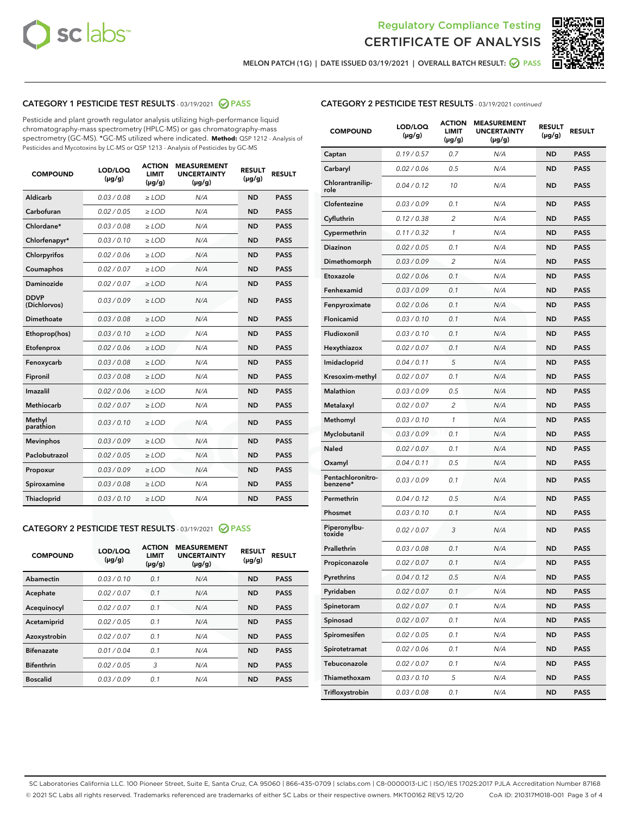



MELON PATCH (1G) | DATE ISSUED 03/19/2021 | OVERALL BATCH RESULT:  $\bigcirc$  PASS

# CATEGORY 1 PESTICIDE TEST RESULTS - 03/19/2021 2 PASS

Pesticide and plant growth regulator analysis utilizing high-performance liquid chromatography-mass spectrometry (HPLC-MS) or gas chromatography-mass spectrometry (GC-MS). \*GC-MS utilized where indicated. **Method:** QSP 1212 - Analysis of Pesticides and Mycotoxins by LC-MS or QSP 1213 - Analysis of Pesticides by GC-MS

| <b>COMPOUND</b>             | LOD/LOQ<br>$(\mu g/g)$ | <b>ACTION</b><br><b>LIMIT</b><br>$(\mu g/g)$ | <b>MEASUREMENT</b><br><b>UNCERTAINTY</b><br>$(\mu g/g)$ | <b>RESULT</b><br>$(\mu g/g)$ | <b>RESULT</b> |
|-----------------------------|------------------------|----------------------------------------------|---------------------------------------------------------|------------------------------|---------------|
| Aldicarb                    | 0.03 / 0.08            | $\ge$ LOD                                    | N/A                                                     | <b>ND</b>                    | <b>PASS</b>   |
| Carbofuran                  | 0.02 / 0.05            | $\ge$ LOD                                    | N/A                                                     | <b>ND</b>                    | <b>PASS</b>   |
| Chlordane*                  | 0.03 / 0.08            | $\ge$ LOD                                    | N/A                                                     | <b>ND</b>                    | <b>PASS</b>   |
| Chlorfenapyr*               | 0.03/0.10              | $\ge$ LOD                                    | N/A                                                     | <b>ND</b>                    | <b>PASS</b>   |
| Chlorpyrifos                | 0.02 / 0.06            | $\ge$ LOD                                    | N/A                                                     | <b>ND</b>                    | <b>PASS</b>   |
| Coumaphos                   | 0.02 / 0.07            | $\ge$ LOD                                    | N/A                                                     | <b>ND</b>                    | <b>PASS</b>   |
| Daminozide                  | 0.02 / 0.07            | $\ge$ LOD                                    | N/A                                                     | <b>ND</b>                    | <b>PASS</b>   |
| <b>DDVP</b><br>(Dichlorvos) | 0.03/0.09              | $\ge$ LOD                                    | N/A                                                     | <b>ND</b>                    | <b>PASS</b>   |
| Dimethoate                  | 0.03 / 0.08            | $\ge$ LOD                                    | N/A                                                     | <b>ND</b>                    | <b>PASS</b>   |
| Ethoprop(hos)               | 0.03/0.10              | $\ge$ LOD                                    | N/A                                                     | <b>ND</b>                    | <b>PASS</b>   |
| Etofenprox                  | 0.02/0.06              | $>$ LOD                                      | N/A                                                     | <b>ND</b>                    | <b>PASS</b>   |
| Fenoxycarb                  | 0.03 / 0.08            | $>$ LOD                                      | N/A                                                     | <b>ND</b>                    | <b>PASS</b>   |
| Fipronil                    | 0.03 / 0.08            | $>$ LOD                                      | N/A                                                     | <b>ND</b>                    | <b>PASS</b>   |
| Imazalil                    | 0.02 / 0.06            | $\ge$ LOD                                    | N/A                                                     | <b>ND</b>                    | <b>PASS</b>   |
| <b>Methiocarb</b>           | 0.02 / 0.07            | $\ge$ LOD                                    | N/A                                                     | <b>ND</b>                    | <b>PASS</b>   |
| Methyl<br>parathion         | 0.03/0.10              | $\ge$ LOD                                    | N/A                                                     | <b>ND</b>                    | <b>PASS</b>   |
| <b>Mevinphos</b>            | 0.03/0.09              | $\ge$ LOD                                    | N/A                                                     | <b>ND</b>                    | <b>PASS</b>   |
| Paclobutrazol               | 0.02 / 0.05            | $\ge$ LOD                                    | N/A                                                     | <b>ND</b>                    | <b>PASS</b>   |
| Propoxur                    | 0.03/0.09              | $\ge$ LOD                                    | N/A                                                     | <b>ND</b>                    | <b>PASS</b>   |
| Spiroxamine                 | 0.03 / 0.08            | $\ge$ LOD                                    | N/A                                                     | <b>ND</b>                    | <b>PASS</b>   |
| Thiacloprid                 | 0.03/0.10              | $\ge$ LOD                                    | N/A                                                     | <b>ND</b>                    | <b>PASS</b>   |

#### CATEGORY 2 PESTICIDE TEST RESULTS - 03/19/2021 @ PASS

| <b>COMPOUND</b>   | LOD/LOQ<br>$(\mu g/g)$ | <b>ACTION</b><br><b>LIMIT</b><br>$(\mu g/g)$ | <b>MEASUREMENT</b><br><b>UNCERTAINTY</b><br>$(\mu g/g)$ | <b>RESULT</b><br>$(\mu g/g)$ | <b>RESULT</b> |
|-------------------|------------------------|----------------------------------------------|---------------------------------------------------------|------------------------------|---------------|
| Abamectin         | 0.03/0.10              | 0.1                                          | N/A                                                     | <b>ND</b>                    | <b>PASS</b>   |
| Acephate          | 0.02/0.07              | 0.1                                          | N/A                                                     | <b>ND</b>                    | <b>PASS</b>   |
| Acequinocyl       | 0.02/0.07              | 0.1                                          | N/A                                                     | <b>ND</b>                    | <b>PASS</b>   |
| Acetamiprid       | 0.02/0.05              | 0.1                                          | N/A                                                     | <b>ND</b>                    | <b>PASS</b>   |
| Azoxystrobin      | 0.02/0.07              | 0.1                                          | N/A                                                     | <b>ND</b>                    | <b>PASS</b>   |
| <b>Bifenazate</b> | 0.01/0.04              | 0.1                                          | N/A                                                     | <b>ND</b>                    | <b>PASS</b>   |
| <b>Bifenthrin</b> | 0.02/0.05              | 3                                            | N/A                                                     | <b>ND</b>                    | <b>PASS</b>   |
| <b>Boscalid</b>   | 0.03/0.09              | 0.1                                          | N/A                                                     | <b>ND</b>                    | <b>PASS</b>   |

# CATEGORY 2 PESTICIDE TEST RESULTS - 03/19/2021 continued

| <b>COMPOUND</b>               | LOD/LOQ<br>(µg/g) | <b>ACTION</b><br>LIMIT<br>$(\mu g/g)$ | <b>MEASUREMENT</b><br><b>UNCERTAINTY</b><br>(µg/g) | <b>RESULT</b><br>(µg/g) | <b>RESULT</b> |
|-------------------------------|-------------------|---------------------------------------|----------------------------------------------------|-------------------------|---------------|
| Captan                        | 0.19/0.57         | 0.7                                   | N/A                                                | ND                      | <b>PASS</b>   |
| Carbaryl                      | 0.02 / 0.06       | 0.5                                   | N/A                                                | ND                      | <b>PASS</b>   |
| Chlorantranilip-<br>role      | 0.04 / 0.12       | 10                                    | N/A                                                | <b>ND</b>               | <b>PASS</b>   |
| Clofentezine                  | 0.03 / 0.09       | 0.1                                   | N/A                                                | <b>ND</b>               | <b>PASS</b>   |
| Cyfluthrin                    | 0.12 / 0.38       | 2                                     | N/A                                                | ND                      | <b>PASS</b>   |
| Cypermethrin                  | 0.11/0.32         | 1                                     | N/A                                                | ND                      | <b>PASS</b>   |
| Diazinon                      | 0.02 / 0.05       | 0.1                                   | N/A                                                | <b>ND</b>               | <b>PASS</b>   |
| Dimethomorph                  | 0.03 / 0.09       | 2                                     | N/A                                                | ND                      | <b>PASS</b>   |
| Etoxazole                     | 0.02 / 0.06       | 0.1                                   | N/A                                                | <b>ND</b>               | <b>PASS</b>   |
| Fenhexamid                    | 0.03 / 0.09       | 0.1                                   | N/A                                                | ND                      | <b>PASS</b>   |
| Fenpyroximate                 | 0.02 / 0.06       | 0.1                                   | N/A                                                | ND                      | <b>PASS</b>   |
| Flonicamid                    | 0.03 / 0.10       | 0.1                                   | N/A                                                | ND                      | <b>PASS</b>   |
| Fludioxonil                   | 0.03/0.10         | 0.1                                   | N/A                                                | <b>ND</b>               | <b>PASS</b>   |
| Hexythiazox                   | 0.02 / 0.07       | 0.1                                   | N/A                                                | ND                      | <b>PASS</b>   |
| Imidacloprid                  | 0.04 / 0.11       | 5                                     | N/A                                                | ND                      | <b>PASS</b>   |
| Kresoxim-methyl               | 0.02 / 0.07       | 0.1                                   | N/A                                                | ND                      | <b>PASS</b>   |
| Malathion                     | 0.03/0.09         | 0.5                                   | N/A                                                | ND                      | <b>PASS</b>   |
| Metalaxyl                     | 0.02 / 0.07       | $\overline{2}$                        | N/A                                                | ND                      | <b>PASS</b>   |
| Methomyl                      | 0.03 / 0.10       | 1                                     | N/A                                                | <b>ND</b>               | <b>PASS</b>   |
| Myclobutanil                  | 0.03/0.09         | 0.1                                   | N/A                                                | ND                      | <b>PASS</b>   |
| Naled                         | 0.02 / 0.07       | 0.1                                   | N/A                                                | ND                      | <b>PASS</b>   |
| Oxamyl                        | 0.04 / 0.11       | 0.5                                   | N/A                                                | <b>ND</b>               | <b>PASS</b>   |
| Pentachloronitro-<br>benzene* | 0.03 / 0.09       | 0.1                                   | N/A                                                | <b>ND</b>               | <b>PASS</b>   |
| Permethrin                    | 0.04 / 0.12       | 0.5                                   | N/A                                                | <b>ND</b>               | <b>PASS</b>   |
| Phosmet                       | 0.03 / 0.10       | 0.1                                   | N/A                                                | ND                      | <b>PASS</b>   |
| Piperonylbu-<br>toxide        | 0.02 / 0.07       | 3                                     | N/A                                                | <b>ND</b>               | <b>PASS</b>   |
| Prallethrin                   | 0.03 / 0.08       | 0.1                                   | N/A                                                | <b>ND</b>               | <b>PASS</b>   |
| Propiconazole                 | 0.02 / 0.07       | 0.1                                   | N/A                                                | ND                      | <b>PASS</b>   |
| Pyrethrins                    | 0.04 / 0.12       | 0.5                                   | N/A                                                | ND                      | PASS          |
| Pyridaben                     | 0.02 / 0.07       | 0.1                                   | N/A                                                | <b>ND</b>               | <b>PASS</b>   |
| Spinetoram                    | 0.02 / 0.07       | 0.1                                   | N/A                                                | <b>ND</b>               | <b>PASS</b>   |
| Spinosad                      | 0.02 / 0.07       | 0.1                                   | N/A                                                | <b>ND</b>               | <b>PASS</b>   |
| Spiromesifen                  | 0.02 / 0.05       | 0.1                                   | N/A                                                | <b>ND</b>               | <b>PASS</b>   |
| Spirotetramat                 | 0.02 / 0.06       | 0.1                                   | N/A                                                | <b>ND</b>               | <b>PASS</b>   |
| Tebuconazole                  | 0.02 / 0.07       | 0.1                                   | N/A                                                | <b>ND</b>               | <b>PASS</b>   |
| Thiamethoxam                  | 0.03 / 0.10       | 5                                     | N/A                                                | <b>ND</b>               | <b>PASS</b>   |
| Trifloxystrobin               | 0.03 / 0.08       | 0.1                                   | N/A                                                | <b>ND</b>               | <b>PASS</b>   |